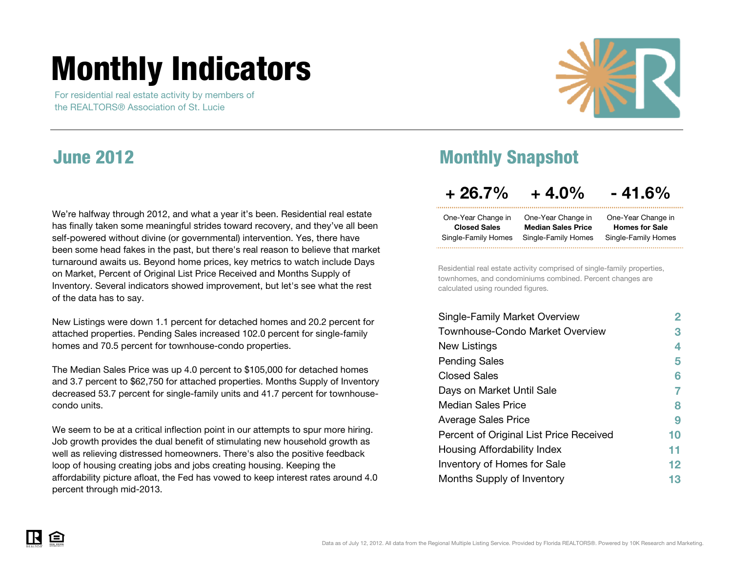# <span id="page-0-0"></span>**Monthly Indicators**

 For residential real estate activity by members of the REALTORS® Association of St. Lucie



#### **June 2012**

We're halfway through 2012, and what a year it's been. Residential real estate has finally taken some meaningful strides toward recovery, and they've all been self-powered without divine (or governmental) intervention. Yes, there have been some head fakes in the past, but there's real reason to believe that market turnaround awaits us. Beyond home prices, key metrics to watch include Days on Market, Percent of Original List Price Received and Months Supply of Inventory. Several indicators showed improvement, but let's see what the rest of the data has to say.

New Listings were down 1.1 percent for detached homes and 20.2 percent for attached properties. Pending Sales increased 102.0 percent for single-family homes and 70.5 percent for townhouse-condo properties.

The Median Sales Price was up 4.0 percent to \$105,000 for detached homes and 3.7 percent to \$62,750 for attached properties. Months Supply of Inventory decreased 53.7 percent for single-family units and 41.7 percent for townhousecondo units.

We seem to be at a critical inflection point in our attempts to spur more hiring. Job growth provides the dual benefit of stimulating new household growth as well as relieving distressed homeowners. There's also the positive feedback loop of housing creating jobs and jobs creating housing. Keeping the affordability picture afloat, the Fed has vowed to keep interest rates around 4.0 percent through mid-2013.

### **Monthly Snapshot**

#### **+ 26.7% + 4.0% - 41.6%**

| One-Year Change in  | One-Year Change in        | One-Year Change in    |
|---------------------|---------------------------|-----------------------|
| <b>Closed Sales</b> | <b>Median Sales Price</b> | <b>Homes for Sale</b> |
| Single-Family Homes | Single-Family Homes       | Single-Family Homes   |
|                     |                           |                       |

Residential real estate activity comprised of single-family properties, townhomes, and condominiums combined. Percent changes are calculated using rounded figures. calculated using rounded

| <b>Single-Family Market Overview</b>    | 2       |
|-----------------------------------------|---------|
| Townhouse-Condo Market Overview         | 3       |
| New Listings                            | 4       |
| <b>Pending Sales</b>                    | 5       |
| <b>Closed Sales</b>                     | 6       |
| Days on Market Until Sale               | 7       |
| <b>Median Sales Price</b>               | 8       |
| <b>Average Sales Price</b>              | 9       |
| Percent of Original List Price Received | 10      |
| Housing Affordability Index             | 11      |
| <b>Inventory of Homes for Sale</b>      | $12 \,$ |
| Months Supply of Inventory              | 13      |

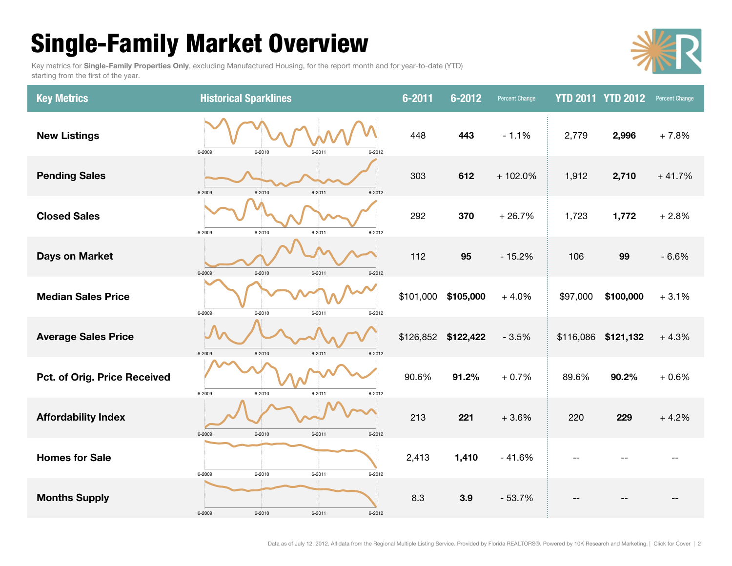# <span id="page-1-0"></span>**Single-Family Market Overview**

Key metrics for **Single-Family Properties Only**, excluding Manufactured Housing, for the report month and for year-to-date (YTD) starting from the first of the year.



| <b>Key Metrics</b>           | <b>Historical Sparklines</b>                 | $6 - 2011$ | $6 - 2012$          | <b>Percent Change</b> | <b>YTD 2011 YTD 2012</b> |           | Percent Change |
|------------------------------|----------------------------------------------|------------|---------------------|-----------------------|--------------------------|-----------|----------------|
| <b>New Listings</b>          | 6-2009<br>6-2010<br>$6 - 2011$<br>6-2012     | 448        | 443                 | $-1.1%$               | 2,779                    | 2,996     | $+7.8%$        |
| <b>Pending Sales</b>         | 6-2010<br>$6 - 2011$<br>6-2009<br>6-2012     | 303        | 612                 | $+102.0%$             | 1,912                    | 2,710     | $+41.7%$       |
| <b>Closed Sales</b>          | 6-2009<br>6-2010<br>$6 - 2011$<br>6-2012     | 292        | 370                 | $+26.7%$              | 1,723                    | 1,772     | $+2.8%$        |
| <b>Days on Market</b>        | 6-2009<br>6-2010<br>$6 - 2011$<br>6-2012     | 112        | 95                  | $-15.2%$              | 106                      | 99        | $-6.6%$        |
| <b>Median Sales Price</b>    | 6-2009<br>6-2010<br>$6 - 2011$<br>6-2012     | \$101,000  | \$105,000           | $+4.0%$               | \$97,000                 | \$100,000 | $+3.1%$        |
| <b>Average Sales Price</b>   | 6-2009<br>6-2010<br>$6 - 2011$<br>$6 - 2012$ |            | \$126,852 \$122,422 | $-3.5%$               | \$116,086 \$121,132      |           | $+4.3%$        |
| Pct. of Orig. Price Received | 6-2009<br>6-2010<br>$6 - 2011$<br>6-2012     | 90.6%      | 91.2%               | $+0.7%$               | 89.6%                    | 90.2%     | $+0.6%$        |
| <b>Affordability Index</b>   | 6-2009<br>$6 - 2010$<br>$6 - 2011$<br>6-2012 | 213        | 221                 | $+3.6%$               | 220                      | 229       | $+4.2%$        |
| <b>Homes for Sale</b>        | 6-2010<br>$6 - 2011$<br>6-2009<br>6-2012     | 2,413      | 1,410               | $-41.6%$              |                          |           |                |
| <b>Months Supply</b>         | 6-2009<br>6-2010<br>$6 - 2011$<br>6-2012     | 8.3        | 3.9                 | $-53.7%$              |                          |           |                |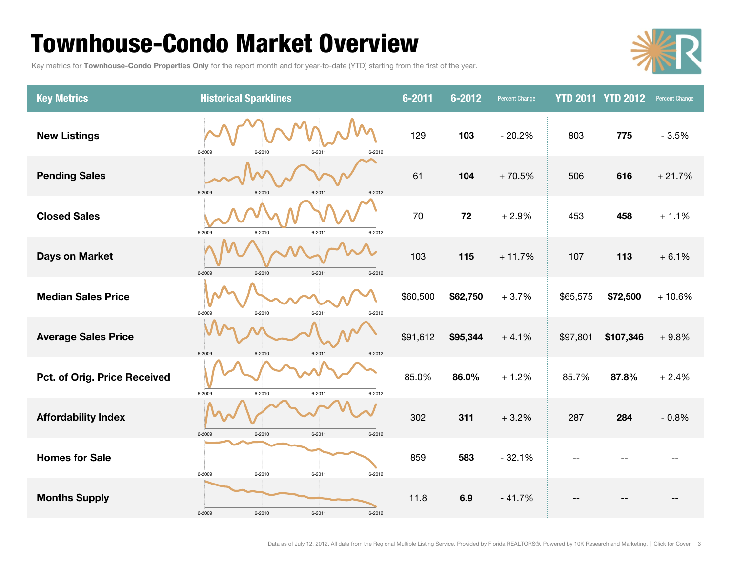# <span id="page-2-0"></span>**Townhouse-Condo Market Overview**

Key metrics for **Townhouse-Condo Properties Only** for the report month and for year-to-date (YTD) starting from the first of the year.



| <b>Key Metrics</b>           | <b>Historical Sparklines</b>                 | $6 - 2011$ | $6 - 2012$ | <b>Percent Change</b> |          | <b>YTD 2011 YTD 2012</b> | Percent Change |
|------------------------------|----------------------------------------------|------------|------------|-----------------------|----------|--------------------------|----------------|
| <b>New Listings</b>          | 6-2009<br>6-2010<br>$6 - 2011$<br>6-2012     | 129        | 103        | $-20.2%$              | 803      | 775                      | $-3.5%$        |
| <b>Pending Sales</b>         | 6-2010<br>6-2009<br>$6 - 2011$<br>6-2012     | 61         | 104        | $+70.5%$              | 506      | 616                      | $+21.7%$       |
| <b>Closed Sales</b>          | 6-2010<br>$6 - 2011$<br>6-2012<br>6-2009     | 70         | 72         | $+2.9%$               | 453      | 458                      | $+1.1%$        |
| <b>Days on Market</b>        | 6-2010<br>6-2009<br>$6 - 2011$<br>$6 - 2012$ | 103        | 115        | $+11.7%$              | 107      | 113                      | $+6.1%$        |
| <b>Median Sales Price</b>    | $6 - 2011$<br>6-2009<br>6-2010<br>6-2012     | \$60,500   | \$62,750   | $+3.7%$               | \$65,575 | \$72,500                 | $+10.6%$       |
| <b>Average Sales Price</b>   | 6-2009<br>6-2010<br>$6 - 2012$<br>$6 - 2011$ | \$91,612   | \$95,344   | $+4.1%$               | \$97,801 | \$107,346                | $+9.8%$        |
| Pct. of Orig. Price Received | 6-2009<br>6-2010<br>$6 - 2011$<br>6-2012     | 85.0%      | 86.0%      | $+1.2%$               | 85.7%    | 87.8%                    | $+2.4%$        |
| <b>Affordability Index</b>   | 6-2009<br>$6 - 2011$<br>6-2010<br>6-2012     | 302        | 311        | $+3.2%$               | 287      | 284                      | $-0.8%$        |
| <b>Homes for Sale</b>        | 6-2009<br>6-2010<br>$6 - 2011$<br>6-2012     | 859        | 583        | $-32.1%$              |          |                          |                |
| <b>Months Supply</b>         | 6-2009<br>6-2010<br>$6 - 2011$<br>6-2012     | 11.8       | 6.9        | $-41.7%$              |          |                          |                |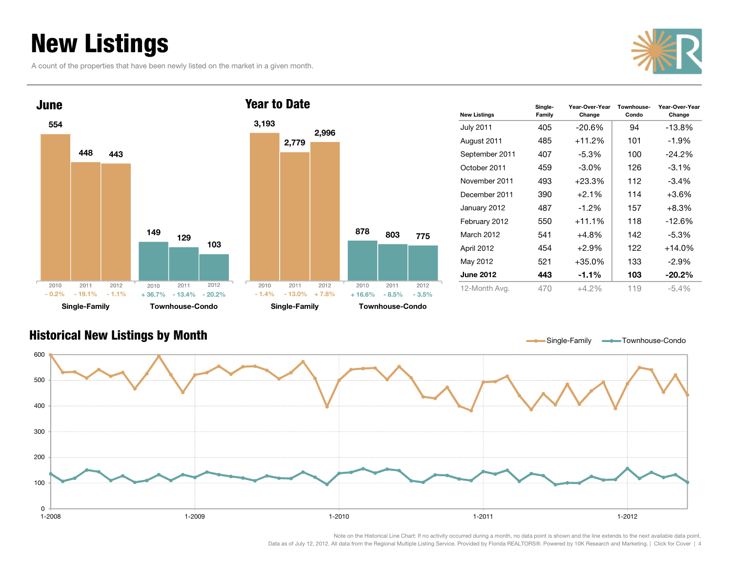# <span id="page-3-0"></span>**New Listings**

A count of the properties that have been newly listed on the market in a given month.





| <b>New Listings</b> | Single-<br>Family | Year-Over-Year<br>Change | Townhouse-<br>Condo | Year-Over-Year<br>Change |
|---------------------|-------------------|--------------------------|---------------------|--------------------------|
| <b>July 2011</b>    | 405               | $-20.6\%$                | 94                  | $-13.8%$                 |
| August 2011         | 485               | $+11.2%$                 | 101                 | $-1.9\%$                 |
| September 2011      | 407               | $-5.3\%$                 | 100                 | $-24.2%$                 |
| October 2011        | 459               | $-3.0\%$                 | 126                 | $-3.1%$                  |
| November 2011       | 493               | $+23.3%$                 | 112                 | $-3.4\%$                 |
| December 2011       | 390               | $+2.1%$                  | 114                 | $+3.6%$                  |
| January 2012        | 487               | $-1.2\%$                 | 157                 | $+8.3%$                  |
| February 2012       | 550               | $+11.1%$                 | 118                 | $-12.6%$                 |
| March 2012          | 541               | $+4.8%$                  | 142                 | $-5.3\%$                 |
| April 2012          | 454               | $+2.9%$                  | 122                 | $+14.0%$                 |
| May 2012            | 521               | +35.0%                   | 133                 | -2.9%                    |
| <b>June 2012</b>    | 443               | $-1.1%$                  | 103                 | $-20.2%$                 |
| 12-Month Avg.       | 470               | $+4.2%$                  | 119                 | $-5.4\%$                 |

Single-Family **- Townhouse-Condo** 

#### **Historical New Listings by Month**

01-2008 100200 300400500600 1-2008 1-2009 1-2010 1-2011 1-2012 $1 - 2012$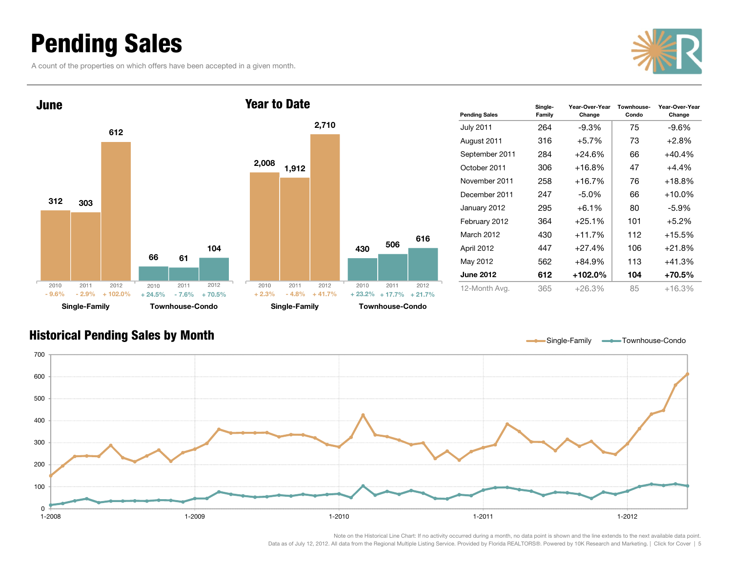# <span id="page-4-0"></span>**Pending Sales**

A count of the properties on which offers have been accepted in a given month.





| <b>Pending Sales</b> | Single-<br>Family | Year-Over-Year<br>Change | Townhouse-<br>Condo | Year-Over-Year<br>Change |
|----------------------|-------------------|--------------------------|---------------------|--------------------------|
| <b>July 2011</b>     | 264               | $-9.3%$                  | 75                  | -9.6%                    |
| August 2011          | 316               | $+5.7%$                  | 73                  | $+2.8%$                  |
| September 2011       | 284               | $+24.6%$                 | 66                  | $+40.4%$                 |
| October 2011         | 306               | $+16.8%$                 | 47                  | $+4.4\%$                 |
| November 2011        | 258               | $+16.7%$                 | 76                  | $+18.8%$                 |
| December 2011        | 247               | $-5.0\%$                 | 66                  | $+10.0\%$                |
| January 2012         | 295               | $+6.1%$                  | 80                  | -5.9%                    |
| February 2012        | 364               | $+25.1%$                 | 101                 | $+5.2\%$                 |
| March 2012           | 430               | $+11.7%$                 | 112                 | $+15.5%$                 |
| April 2012           | 447               | $+27.4%$                 | 106                 | $+21.8%$                 |
| May 2012             | 562               | $+84.9%$                 | 113                 | $+41.3%$                 |
| <b>June 2012</b>     | 612               | $+102.0\%$               | 104                 | +70.5%                   |
| 12-Month Avg.        | 365               | $+26.3%$                 | 85                  | $+16.3%$                 |

#### **Historical Pending Sales by Month**

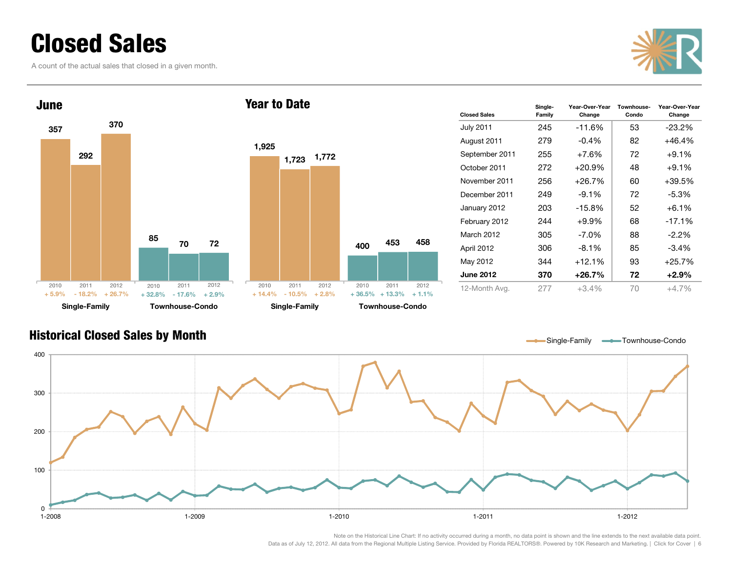# <span id="page-5-0"></span>**Closed Sales**

A count of the actual sales that closed in a given month.





| <b>Closed Sales</b> | Single-<br>Family | Year-Over-Year<br>Change | Townhouse-<br>Condo | Year-Over-Year<br>Change |
|---------------------|-------------------|--------------------------|---------------------|--------------------------|
| <b>July 2011</b>    | 245               | $-11.6%$                 | 53                  | $-23.2%$                 |
| August 2011         | 279               | $-0.4\%$                 | 82                  | $+46.4\%$                |
| September 2011      | 255               | $+7.6%$                  | 72                  | $+9.1%$                  |
| October 2011        | 272               | $+20.9\%$                | 48                  | $+9.1\%$                 |
| November 2011       | 256               | +26.7%                   | 60                  | $+39.5%$                 |
| December 2011       | 249               | $-9.1\%$                 | 72                  | $-5.3%$                  |
| January 2012        | 203               | $-15.8%$                 | 52                  | $+6.1%$                  |
| February 2012       | 244               | $+9.9%$                  | 68                  | $-17.1%$                 |
| March 2012          | 305               | -7.0%                    | 88                  | $-2.2%$                  |
| April 2012          | 306               | $-8.1\%$                 | 85                  | $-3.4%$                  |
| May 2012            | 344               | $+12.1%$                 | 93                  | $+25.7%$                 |
| <b>June 2012</b>    | 370               | +26.7%                   | 72                  | $+2.9\%$                 |
| 12-Month Avg.       | 277               | $+3.4%$                  | 70                  | $+4.7%$                  |

#### **Historical Closed Sales by Month**

Single-Family **- Townhouse-Condo** 

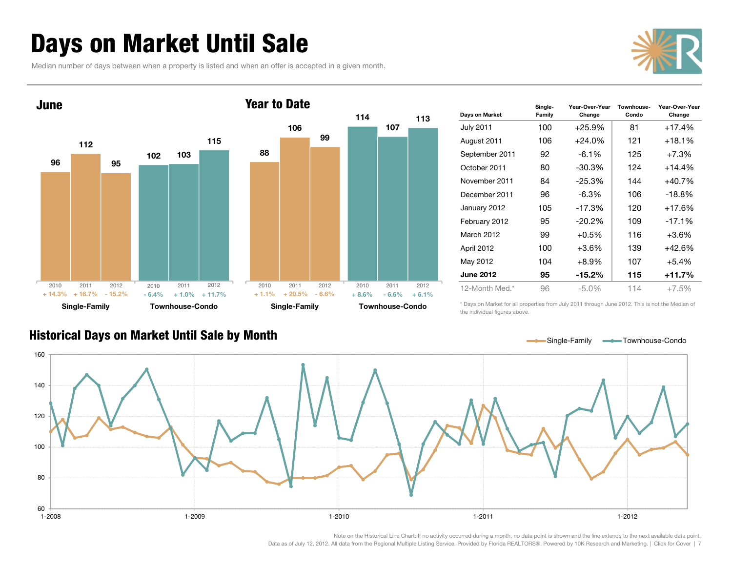# <span id="page-6-0"></span>**Days on Market Until Sale**

**Historical Days on Market Until Sale by Month**

Median number of days between when a property is listed and when an offer is accepted in a given month.





| Days on Market   | Single-<br>Family | Year-Over-Year<br>Change | Townhouse-<br>Condo | Year-Over-Year<br>Change |
|------------------|-------------------|--------------------------|---------------------|--------------------------|
| <b>July 2011</b> | 100               | $+25.9%$                 | 81                  | $+17.4%$                 |
| August 2011      | 106               | $+24.0\%$                | 121                 | $+18.1%$                 |
| September 2011   | 92                | $-6.1\%$                 | 125                 | $+7.3%$                  |
| October 2011     | 80                | $-30.3\%$                | 124                 | +14.4%                   |
| November 2011    | 84                | $-25.3%$                 | 144                 | $+40.7%$                 |
| December 2011    | 96                | $-6.3\%$                 | 106                 | $-18.8%$                 |
| January 2012     | 105               | $-17.3%$                 | 120                 | $+17.6%$                 |
| February 2012    | 95                | $-20.2\%$                | 109                 | $-17.1%$                 |
| March 2012       | 99                | $+0.5%$                  | 116                 | $+3.6%$                  |
| April 2012       | 100               | $+3.6%$                  | 139                 | $+42.6%$                 |
| May 2012         | 104               | $+8.9\%$                 | 107                 | $+5.4%$                  |
| <b>June 2012</b> | 95                | $-15.2\%$                | 115                 | +11.7%                   |
| 12-Month Med.*   | 96                | $-5.0\%$                 | 114                 | $+7.5%$                  |

\* Days on Market for all properties from July 2011 through June 2012. This is not the Median of the individual figures above.

Single-Family **- Townhouse-Condo** 



Note on the Historical Line Chart: If no activity occurred during a month, no data point is shown and the line extends to the next available data point.

[Data as of July 12, 2012. All data from the Regional Multiple Listing Service. Provided by Florida REALTORS®. Powered by 10K Research and Marketing. | Click for Cover](#page-0-0) | 7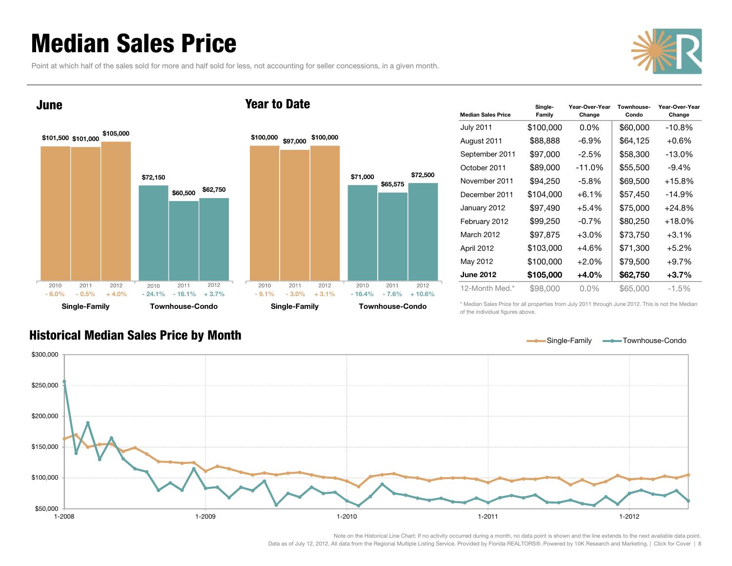# <span id="page-7-0"></span>**Median Sales Price**

Point at which half of the sales sold for more and half sold for less, not accounting for seller concessions, in a given month.





| <b>Median Sales Price</b> | Single-<br>Family | Year-Over-Year<br>Change | Townhouse-<br>Condo | Year-Over-Year<br>Change |
|---------------------------|-------------------|--------------------------|---------------------|--------------------------|
| <b>July 2011</b>          | \$100,000         | $0.0\%$                  | \$60,000            | $-10.8%$                 |
| August 2011               | \$88,888          | -6.9%                    | \$64,125            | $+0.6\%$                 |
| September 2011            | \$97,000          | $-2.5%$                  | \$58,300            | $-13.0\%$                |
| October 2011              | \$89,000          | $-11.0%$                 | \$55,500            | $-9.4%$                  |
| November 2011             | \$94,250          | $-5.8\%$                 | \$69,500            | $+15.8\%$                |
| December 2011             | \$104,000         | $+6.1\%$                 | \$57,450            | $-14.9\%$                |
| January 2012              | \$97,490          | $+5.4%$                  | \$75,000            | $+24.8%$                 |
| February 2012             | \$99,250          | $-0.7%$                  | \$80,250            | $+18.0\%$                |
| March 2012                | \$97,875          | $+3.0%$                  | \$73,750            | $+3.1%$                  |
| April 2012                | \$103,000         | $+4.6%$                  | \$71,300            | $+5.2\%$                 |
| May 2012                  | \$100,000         | $+2.0%$                  | \$79,500            | +9.7%                    |
| <b>June 2012</b>          | \$105,000         | $+4.0%$                  | \$62,750            | $+3.7%$                  |
| 12-Month Med.*            | \$98,000          | $0.0\%$                  | \$65,000            | $-1.5\%$                 |

\* Median Sales Price for all properties from July 2011 through June 2012. This is not the Median of the individual figures above.



#### **Historical Median Sales Price by Month**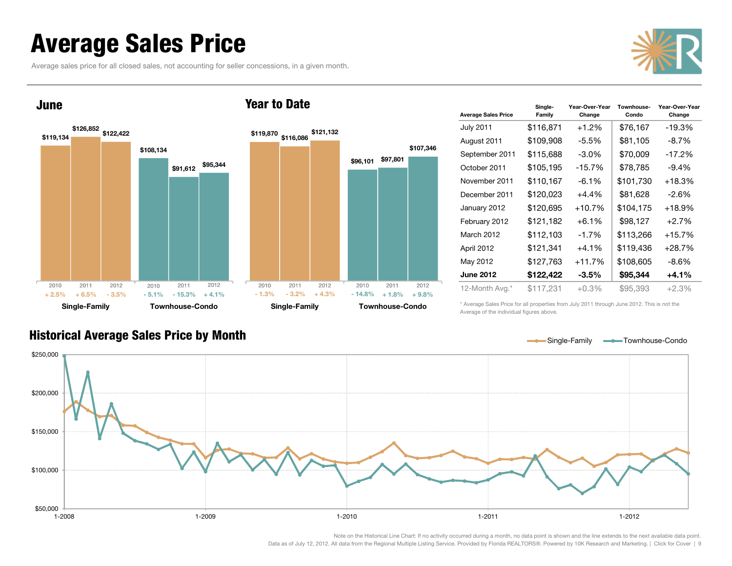## <span id="page-8-0"></span>**Average Sales Price**

Average sales price for all closed sales, not accounting for seller concessions, in a given month.





| <b>Average Sales Price</b> | Single-<br>Family | Year-Over-Year<br>Change | Townhouse-<br>Condo | Year-Over-Year<br>Change |
|----------------------------|-------------------|--------------------------|---------------------|--------------------------|
| <b>July 2011</b>           | \$116,871         | $+1.2%$                  | \$76,167            | -19.3%                   |
| August 2011                | \$109,908         | -5.5%                    | \$81,105            | $-8.7\%$                 |
| September 2011             | \$115,688         | $-3.0\%$                 | \$70,009            | -17.2%                   |
| October 2011               | \$105,195         | $-15.7%$                 | \$78,785            | $-9.4%$                  |
| November 2011              | \$110,167         | $-6.1%$                  | \$101,730           | $+18.3%$                 |
| December 2011              | \$120,023         | $+4.4%$                  | \$81,628            | $-2.6%$                  |
| January 2012               | \$120,695         | $+10.7%$                 | \$104,175           | $+18.9%$                 |
| February 2012              | \$121,182         | $+6.1%$                  | \$98,127            | $+2.7%$                  |
| March 2012                 | \$112,103         | $-1.7%$                  | \$113,266           | $+15.7%$                 |
| April 2012                 | \$121,341         | $+4.1%$                  | \$119,436           | $+28.7%$                 |
| May 2012                   | \$127,763         | +11.7%                   | \$108,605           | $-8.6\%$                 |
| <b>June 2012</b>           | \$122,422         | $-3.5\%$                 | \$95,344            | $+4.1%$                  |
| 12-Month Avg.*             | \$117,231         | +0.3%                    | \$95,393            | $+2.3%$                  |

\* Average Sales Price for all properties from July 2011 through June 2012. This is not the Average of the individual figures above.



#### **Historical Average Sales Price by Month**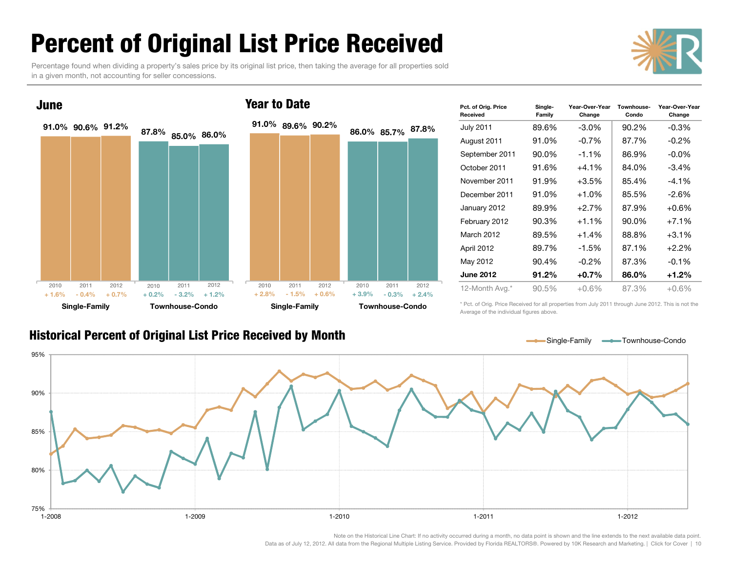# <span id="page-9-0"></span>**Percent of Original List Price Received**

Percentage found when dividing a property's sales price by its original list price, then taking the average for all properties sold in a given month, not accounting for seller concessions.



| Pct. of Orig. Price<br>Received | Single-<br>Family | Year-Over-Year<br>Change | Townhouse-<br>Condo | Year-Over-Year<br>Change |
|---------------------------------|-------------------|--------------------------|---------------------|--------------------------|
| <b>July 2011</b>                | 89.6%             | $-3.0\%$                 | 90.2%               | $-0.3\%$                 |
| August 2011                     | 91.0%             | $-0.7\%$                 | 87.7%               | $-0.2\%$                 |
| September 2011                  | 90.0%             | $-1.1%$                  | 86.9%               | $-0.0\%$                 |
| October 2011                    | 91.6%             | $+4.1%$                  | 84.0%               | -3.4%                    |
| November 2011                   | 91.9%             | $+3.5%$                  | 85.4%               | $-4.1\%$                 |
| December 2011                   | 91.0%             | $+1.0%$                  | 85.5%               | $-2.6\%$                 |
| January 2012                    | 89.9%             | $+2.7%$                  | 87.9%               | $+0.6%$                  |
| February 2012                   | 90.3%             | $+1.1\%$                 | 90.0%               | $+7.1\%$                 |
| March 2012                      | 89.5%             | $+1.4%$                  | 88.8%               | $+3.1%$                  |
| April 2012                      | 89.7%             | $-1.5%$                  | 87.1%               | $+2.2%$                  |
| May 2012                        | 90.4%             | $-0.2\%$                 | 87.3%               | $-0.1\%$                 |
| <b>June 2012</b>                | 91.2%             | $+0.7%$                  | 86.0%               | $+1.2%$                  |
| 12-Month Avg.*                  | 90.5%             | $+0.6%$                  | 87.3%               | $+0.6%$                  |

\* Pct. of Orig. Price Received for all properties from July 2011 through June 2012. This is not the Average of the individual figures above.

#### **Historical Percent of Original List Price Received by Month**

Single-Family **Townhouse-Condo** 



#### **Year to Date**

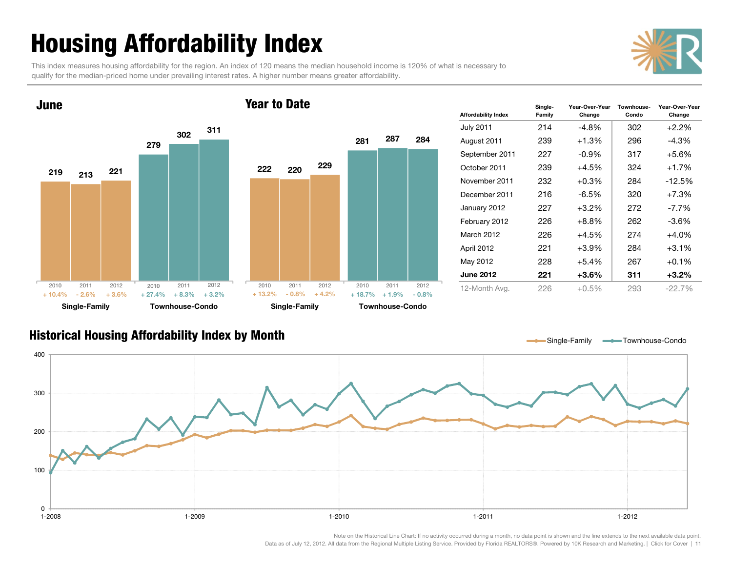# <span id="page-10-0"></span>**Housing Affordability Index**

This index measures housing affordability for the region. An index of 120 means the median household income is 120% of what is necessary to qualify for the median-priced home under prevailing interest rates. A higher number means greater affordability.





| <b>Affordability Index</b> | Single-<br>Family | Year-Over-Year<br>Change | Townhouse-<br>Condo | Year-Over-Year<br>Change |
|----------------------------|-------------------|--------------------------|---------------------|--------------------------|
| <b>July 2011</b>           | 214               | -4.8%                    | 302                 | $+2.2%$                  |
| August 2011                | 239               | $+1.3%$                  | 296                 | -4.3%                    |
| September 2011             | 227               | $-0.9\%$                 | 317                 | $+5.6%$                  |
| October 2011               | 239               | $+4.5%$                  | 324                 | $+1.7%$                  |
| November 2011              | 232               | $+0.3%$                  | 284                 | $-12.5%$                 |
| December 2011              | 216               | -6.5%                    | 320                 | $+7.3%$                  |
| January 2012               | 227               | $+3.2\%$                 | 272                 | $-7.7\%$                 |
| February 2012              | 226               | $+8.8%$                  | 262                 | $-3.6%$                  |
| March 2012                 | 226               | $+4.5%$                  | 274                 | $+4.0%$                  |
| April 2012                 | 221               | $+3.9%$                  | 284                 | $+3.1%$                  |
| May 2012                   | 228               | $+5.4%$                  | 267                 | $+0.1%$                  |
| <b>June 2012</b>           | 221               | +3.6%                    | 311                 | $+3.2\%$                 |
| 12-Month Ava.              | 226               | $+0.5\%$                 | 293                 | $-22.7\%$                |

#### **Historical Housing Affordability Index by Month**

Single-Family **- Townhouse-Condo** 

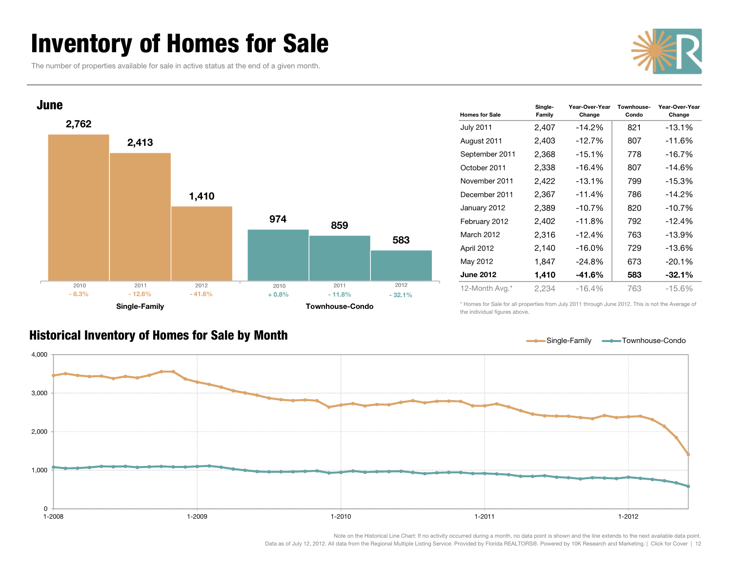# <span id="page-11-0"></span>**Inventory of Homes for Sale**

The number of properties available for sale in active status at the end of a given month.





| <b>Homes for Sale</b> | Single-<br>Family | Year-Over-Year<br>Change | Townhouse-<br>Condo | Year-Over-Year<br>Change |
|-----------------------|-------------------|--------------------------|---------------------|--------------------------|
| <b>July 2011</b>      | 2,407             | $-14.2%$                 | 821                 | $-13.1%$                 |
| August 2011           | 2,403             | $-12.7%$                 | 807                 | -11.6%                   |
| September 2011        | 2,368             | $-15.1\%$                | 778                 | -16.7%                   |
| October 2011          | 2,338             | $-16.4%$                 | 807                 | -14.6%                   |
| November 2011         | 2,422             | $-13.1%$                 | 799                 | -15.3%                   |
| December 2011         | 2,367             | $-11.4%$                 | 786                 | $-14.2\%$                |
| January 2012          | 2,389             | $-10.7%$                 | 820                 | -10.7%                   |
| February 2012         | 2,402             | $-11.8%$                 | 792                 | -12.4%                   |
| March 2012            | 2,316             | $-12.4%$                 | 763                 | -13.9%                   |
| April 2012            | 2,140             | $-16.0\%$                | 729                 | -13.6%                   |
| May 2012              | 1,847             | $-24.8%$                 | 673                 | $-20.1%$                 |
| <b>June 2012</b>      | 1,410             | -41.6%                   | 583                 | $-32.1%$                 |
| 12-Month Avg.*        | 2,234             | $-16.4%$                 | 763                 | -15.6%                   |

\* Homes for Sale for all properties from July 2011 through June 2012. This is not the Average of the individual figures above.